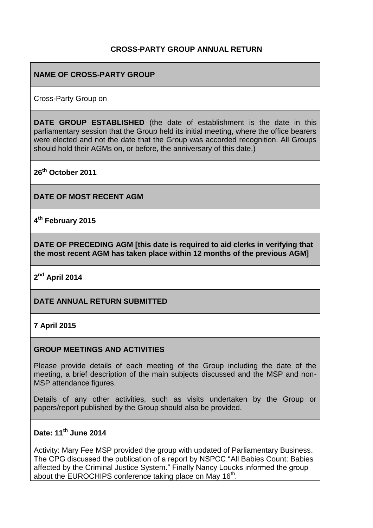## **CROSS-PARTY GROUP ANNUAL RETURN**

## **NAME OF CROSS-PARTY GROUP**

Cross-Party Group on

**DATE GROUP ESTABLISHED** (the date of establishment is the date in this parliamentary session that the Group held its initial meeting, where the office bearers were elected and not the date that the Group was accorded recognition. All Groups should hold their AGMs on, or before, the anniversary of this date.)

**26th October 2011**

**DATE OF MOST RECENT AGM**

**4 th February 2015**

**DATE OF PRECEDING AGM [this date is required to aid clerks in verifying that the most recent AGM has taken place within 12 months of the previous AGM]**

**2 nd April 2014**

### **DATE ANNUAL RETURN SUBMITTED**

### **7 April 2015**

#### **GROUP MEETINGS AND ACTIVITIES**

Please provide details of each meeting of the Group including the date of the meeting, a brief description of the main subjects discussed and the MSP and non-MSP attendance figures.

Details of any other activities, such as visits undertaken by the Group or papers/report published by the Group should also be provided.

### **Date: 11th June 2014**

Activity: Mary Fee MSP provided the group with updated of Parliamentary Business. The CPG discussed the publication of a report by NSPCC "All Babies Count: Babies affected by the Criminal Justice System." Finally Nancy Loucks informed the group about the EUROCHIPS conference taking place on May 16<sup>th</sup>.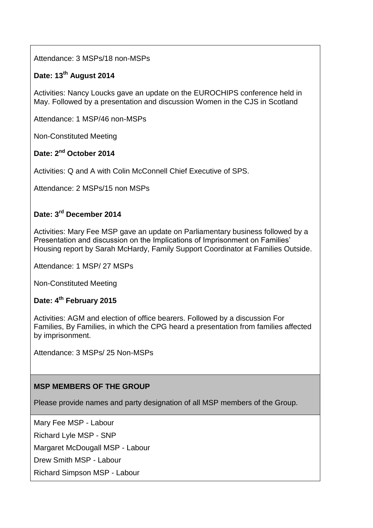Attendance: 3 MSPs/18 non-MSPs

# **Date: 13th August 2014**

Activities: Nancy Loucks gave an update on the EUROCHIPS conference held in May. Followed by a presentation and discussion Women in the CJS in Scotland

Attendance: 1 MSP/46 non-MSPs

Non-Constituted Meeting

## **Date: 2nd October 2014**

Activities: Q and A with Colin McConnell Chief Executive of SPS.

Attendance: 2 MSPs/15 non MSPs

# **Date: 3rd December 2014**

Activities: Mary Fee MSP gave an update on Parliamentary business followed by a Presentation and discussion on the Implications of Imprisonment on Families' Housing report by Sarah McHardy, Family Support Coordinator at Families Outside.

Attendance: 1 MSP/ 27 MSPs

Non-Constituted Meeting

## **Date: 4th February 2015**

Activities: AGM and election of office bearers. Followed by a discussion For Families, By Families, in which the CPG heard a presentation from families affected by imprisonment.

Attendance: 3 MSPs/ 25 Non-MSPs

## **MSP MEMBERS OF THE GROUP**

Please provide names and party designation of all MSP members of the Group.

Mary Fee MSP - Labour Richard Lyle MSP - SNP

Margaret McDougall MSP - Labour

Drew Smith MSP - Labour

Richard Simpson MSP - Labour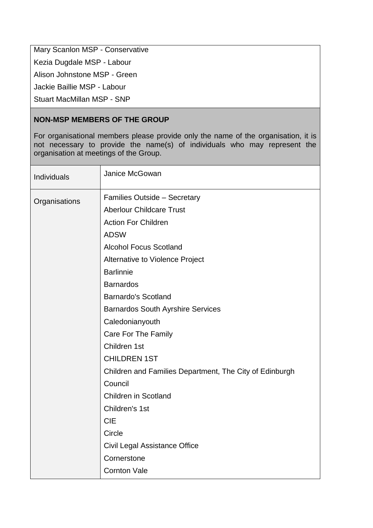Mary Scanlon MSP - Conservative

Kezia Dugdale MSP - Labour

Alison Johnstone MSP - Green

Jackie Baillie MSP - Labour

Stuart MacMillan MSP - SNP

## **NON-MSP MEMBERS OF THE GROUP**

For organisational members please provide only the name of the organisation, it is not necessary to provide the name(s) of individuals who may represent the organisation at meetings of the Group.

| Individuals   | Janice McGowan                                          |
|---------------|---------------------------------------------------------|
| Organisations | <b>Families Outside - Secretary</b>                     |
|               | <b>Aberlour Childcare Trust</b>                         |
|               | <b>Action For Children</b>                              |
|               | <b>ADSW</b>                                             |
|               | <b>Alcohol Focus Scotland</b>                           |
|               | Alternative to Violence Project                         |
|               | <b>Barlinnie</b>                                        |
|               | <b>Barnardos</b>                                        |
|               | <b>Barnardo's Scotland</b>                              |
|               | <b>Barnardos South Ayrshire Services</b>                |
|               | Caledonianyouth                                         |
|               | Care For The Family                                     |
|               | Children 1st                                            |
|               | <b>CHILDREN 1ST</b>                                     |
|               | Children and Families Department, The City of Edinburgh |
|               | Council                                                 |
|               | <b>Children in Scotland</b>                             |
|               | Children's 1st                                          |
|               | <b>CIE</b>                                              |
|               | Circle                                                  |
|               | Civil Legal Assistance Office                           |
|               | Cornerstone                                             |
|               | <b>Cornton Vale</b>                                     |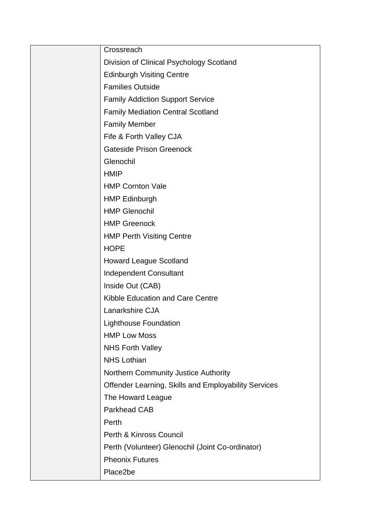| Crossreach                                           |
|------------------------------------------------------|
| Division of Clinical Psychology Scotland             |
| <b>Edinburgh Visiting Centre</b>                     |
| <b>Families Outside</b>                              |
| <b>Family Addiction Support Service</b>              |
| <b>Family Mediation Central Scotland</b>             |
| <b>Family Member</b>                                 |
| Fife & Forth Valley CJA                              |
| <b>Gateside Prison Greenock</b>                      |
| Glenochil                                            |
| <b>HMIP</b>                                          |
| <b>HMP Cornton Vale</b>                              |
| <b>HMP Edinburgh</b>                                 |
| <b>HMP Glenochil</b>                                 |
| <b>HMP Greenock</b>                                  |
| <b>HMP Perth Visiting Centre</b>                     |
| <b>HOPE</b>                                          |
| <b>Howard League Scotland</b>                        |
| Independent Consultant                               |
| Inside Out (CAB)                                     |
| Kibble Education and Care Centre                     |
| Lanarkshire CJA                                      |
| <b>Lighthouse Foundation</b>                         |
| <b>HMP Low Moss</b>                                  |
| <b>NHS Forth Valley</b>                              |
| <b>NHS Lothian</b>                                   |
| Northern Community Justice Authority                 |
| Offender Learning, Skills and Employability Services |
| The Howard League                                    |
| <b>Parkhead CAB</b>                                  |
| Perth                                                |
| Perth & Kinross Council                              |
| Perth (Volunteer) Glenochil (Joint Co-ordinator)     |
| <b>Pheonix Futures</b>                               |
| Place2be                                             |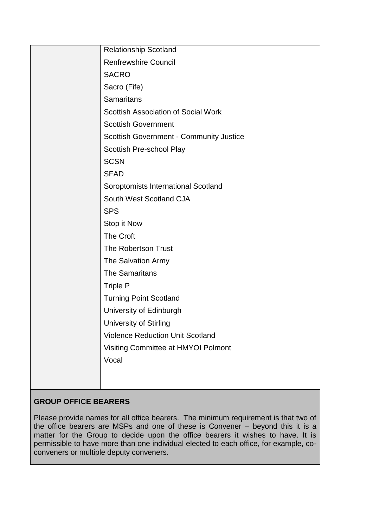| <b>Relationship Scotland</b>                   |
|------------------------------------------------|
| <b>Renfrewshire Council</b>                    |
| <b>SACRO</b>                                   |
| Sacro (Fife)                                   |
| <b>Samaritans</b>                              |
| Scottish Association of Social Work            |
| <b>Scottish Government</b>                     |
| <b>Scottish Government - Community Justice</b> |
| Scottish Pre-school Play                       |
| <b>SCSN</b>                                    |
| <b>SFAD</b>                                    |
| Soroptomists International Scotland            |
| South West Scotland CJA                        |
| <b>SPS</b>                                     |
| Stop it Now                                    |
| The Croft                                      |
| The Robertson Trust                            |
| The Salvation Army                             |
| <b>The Samaritans</b>                          |
| <b>Triple P</b>                                |
| <b>Turning Point Scotland</b>                  |
| University of Edinburgh                        |
| <b>University of Stirling</b>                  |
| <b>Violence Reduction Unit Scotland</b>        |
| Visiting Committee at HMYOI Polmont            |
| Vocal                                          |
|                                                |
|                                                |
|                                                |

# **GROUP OFFICE BEARERS**

Please provide names for all office bearers. The minimum requirement is that two of the office bearers are MSPs and one of these is Convener – beyond this it is a matter for the Group to decide upon the office bearers it wishes to have. It is permissible to have more than one individual elected to each office, for example, coconveners or multiple deputy conveners.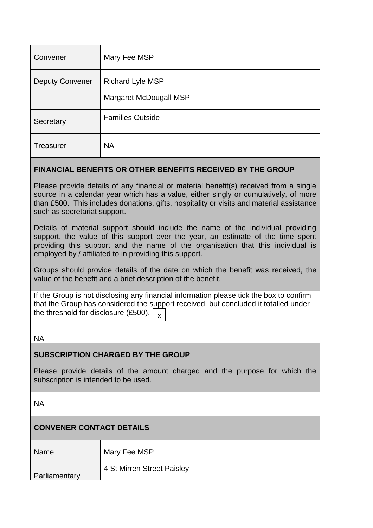| Convener               | Mary Fee MSP                                      |
|------------------------|---------------------------------------------------|
| <b>Deputy Convener</b> | <b>Richard Lyle MSP</b><br>Margaret McDougall MSP |
| Secretary              | <b>Families Outside</b>                           |
| <b>Treasurer</b>       | <b>NA</b>                                         |

### **FINANCIAL BENEFITS OR OTHER BENEFITS RECEIVED BY THE GROUP**

Please provide details of any financial or material benefit(s) received from a single source in a calendar year which has a value, either singly or cumulatively, of more than £500. This includes donations, gifts, hospitality or visits and material assistance such as secretariat support.

Details of material support should include the name of the individual providing support, the value of this support over the year, an estimate of the time spent providing this support and the name of the organisation that this individual is employed by / affiliated to in providing this support.

Groups should provide details of the date on which the benefit was received, the value of the benefit and a brief description of the benefit.

If the Group is not disclosing any financial information please tick the box to confirm that the Group has considered the support received, but concluded it totalled under the threshold for disclosure (£500).  $\big\vert_{\,\,\mathsf{x}}$ 

NA

## **SUBSCRIPTION CHARGED BY THE GROUP**

Please provide details of the amount charged and the purpose for which the subscription is intended to be used.

NA

# **CONVENER CONTACT DETAILS**

| Name          | Mary Fee MSP               |
|---------------|----------------------------|
|               | 4 St Mirren Street Paisley |
| Parliamentary |                            |